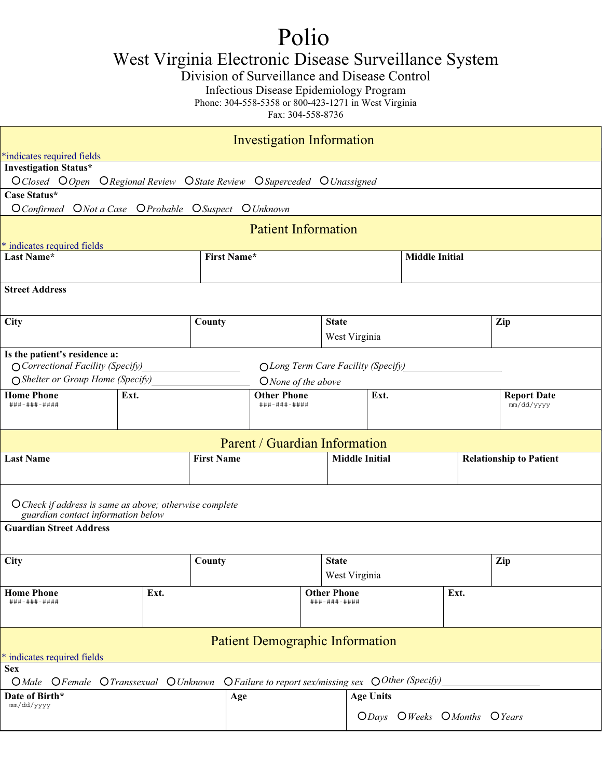## Polio

West Virginia Electronic Disease Surveillance System

Division of Surveillance and Disease Control

Infectious Disease Epidemiology Program

Phone: 304-558-5358 or 800-423-1271 in West Virginia

Fax: 304-558-8736

|                                                                                                                                                                      |                                                                   |                    | <b>Investigation Information</b>           |                                    |                       |                             |                                  |     |  |  |
|----------------------------------------------------------------------------------------------------------------------------------------------------------------------|-------------------------------------------------------------------|--------------------|--------------------------------------------|------------------------------------|-----------------------|-----------------------------|----------------------------------|-----|--|--|
| *indicates required fields                                                                                                                                           |                                                                   |                    |                                            |                                    |                       |                             |                                  |     |  |  |
| <b>Investigation Status*</b>                                                                                                                                         |                                                                   |                    |                                            |                                    |                       |                             |                                  |     |  |  |
| OClosed OOpen ORegional Review OState Review OSuperceded OUnassigned<br>Case Status*                                                                                 |                                                                   |                    |                                            |                                    |                       |                             |                                  |     |  |  |
| O Confirmed O Not a Case O Probable O Suspect O Unknown                                                                                                              |                                                                   |                    |                                            |                                    |                       |                             |                                  |     |  |  |
|                                                                                                                                                                      |                                                                   |                    | <b>Patient Information</b>                 |                                    |                       |                             |                                  |     |  |  |
| * indicates required fields                                                                                                                                          |                                                                   |                    |                                            |                                    |                       |                             |                                  |     |  |  |
| Last Name*                                                                                                                                                           |                                                                   | <b>First Name*</b> |                                            |                                    |                       | <b>Middle Initial</b>       |                                  |     |  |  |
| <b>Street Address</b>                                                                                                                                                |                                                                   |                    |                                            |                                    |                       |                             |                                  |     |  |  |
| City                                                                                                                                                                 |                                                                   | County             |                                            | <b>State</b>                       |                       |                             |                                  | Zip |  |  |
|                                                                                                                                                                      |                                                                   |                    |                                            |                                    | West Virginia         |                             |                                  |     |  |  |
| Is the patient's residence a:<br>O Correctional Facility (Specify)<br>OLong Term Care Facility (Specify)<br>○ Shelter or Group Home (Specify)<br>O None of the above |                                                                   |                    |                                            |                                    |                       |                             |                                  |     |  |  |
| <b>Home Phone</b><br>###-###-####                                                                                                                                    | Ext.                                                              |                    | <b>Other Phone</b><br>Ext.<br>###-###-#### |                                    |                       |                             | <b>Report Date</b><br>mm/dd/yyyy |     |  |  |
|                                                                                                                                                                      |                                                                   |                    | Parent / Guardian Information              |                                    |                       |                             |                                  |     |  |  |
| <b>Last Name</b>                                                                                                                                                     |                                                                   | <b>First Name</b>  |                                            |                                    | <b>Middle Initial</b> |                             | <b>Relationship to Patient</b>   |     |  |  |
| O Check if address is same as above; otherwise complete<br>guardian contact information below                                                                        |                                                                   |                    |                                            |                                    |                       |                             |                                  |     |  |  |
| <b>Guardian Street Address</b>                                                                                                                                       |                                                                   |                    |                                            |                                    |                       |                             |                                  |     |  |  |
| City                                                                                                                                                                 |                                                                   | County             |                                            | <b>State</b>                       | West Virginia         |                             |                                  | Zip |  |  |
| <b>Home Phone</b><br>###-###-####                                                                                                                                    | Ext.                                                              |                    |                                            | <b>Other Phone</b><br>###-###-#### |                       |                             | Ext.                             |     |  |  |
| <b>Patient Demographic Information</b>                                                                                                                               |                                                                   |                    |                                            |                                    |                       |                             |                                  |     |  |  |
| * indicates required fields                                                                                                                                          |                                                                   |                    |                                            |                                    |                       |                             |                                  |     |  |  |
| <b>Sex</b><br>$O$ <i>Male</i>                                                                                                                                        | OFemale OTranssexual OUnknown OF ailure to report sex/missing sex |                    |                                            |                                    |                       | O Other (Specify)           |                                  |     |  |  |
| Date of Birth*                                                                                                                                                       |                                                                   | Age                |                                            |                                    | <b>Age Units</b>      |                             |                                  |     |  |  |
| mm/dd/yyyy                                                                                                                                                           |                                                                   |                    |                                            |                                    |                       | ODays OWeeks OMonths OYears |                                  |     |  |  |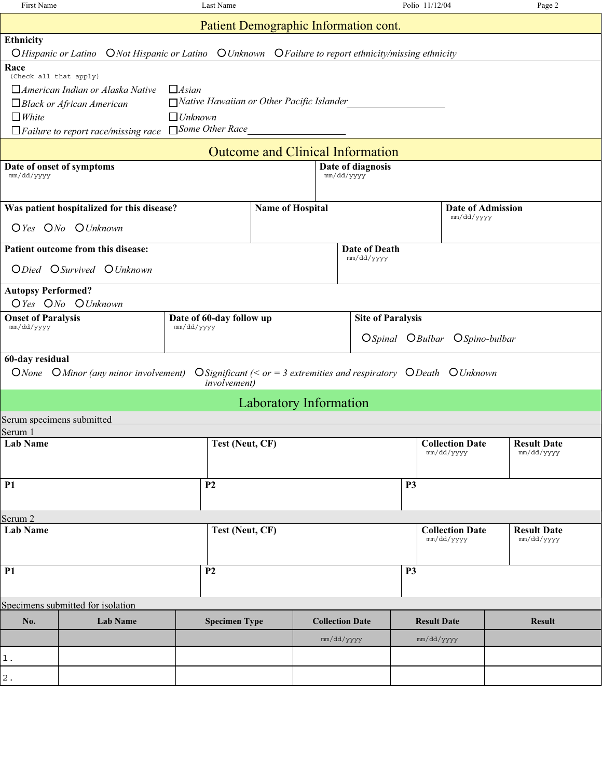| First Name                                                                                             | Last Name                                        |                               |                                                                       | Polio 11/12/04                |                                      | Page 2                           |  |  |  |  |
|--------------------------------------------------------------------------------------------------------|--------------------------------------------------|-------------------------------|-----------------------------------------------------------------------|-------------------------------|--------------------------------------|----------------------------------|--|--|--|--|
|                                                                                                        |                                                  |                               | Patient Demographic Information cont.                                 |                               |                                      |                                  |  |  |  |  |
| Ethnicity                                                                                              |                                                  |                               |                                                                       |                               |                                      |                                  |  |  |  |  |
| O Hispanic or Latino ONot Hispanic or Latino O Unknown O Failure to report ethnicity/missing ethnicity |                                                  |                               |                                                                       |                               |                                      |                                  |  |  |  |  |
| Race<br>(Check all that apply)                                                                         |                                                  |                               |                                                                       |                               |                                      |                                  |  |  |  |  |
| $\Box$ American Indian or Alaska Native                                                                | $\Box$ <i>Asian</i>                              |                               |                                                                       |                               |                                      |                                  |  |  |  |  |
| $\Box$ Black or African American                                                                       | $\Box$ Native Hawaiian or Other Pacific Islander |                               |                                                                       |                               |                                      |                                  |  |  |  |  |
| $\Box$ White                                                                                           | $\Box$ Unknown                                   |                               |                                                                       |                               |                                      |                                  |  |  |  |  |
| $\Box$ Failure to report race/missing race                                                             | □ Some Other Race                                |                               |                                                                       |                               |                                      |                                  |  |  |  |  |
|                                                                                                        |                                                  |                               | <b>Outcome and Clinical Information</b>                               |                               |                                      |                                  |  |  |  |  |
| Date of onset of symptoms<br>Date of diagnosis                                                         |                                                  |                               |                                                                       |                               |                                      |                                  |  |  |  |  |
| mm/dd/yyyy                                                                                             |                                                  |                               | mm/dd/yyyy                                                            |                               |                                      |                                  |  |  |  |  |
|                                                                                                        |                                                  |                               |                                                                       |                               |                                      |                                  |  |  |  |  |
| Was patient hospitalized for this disease?                                                             |                                                  | <b>Name of Hospital</b>       |                                                                       |                               | Date of Admission<br>mm/dd/yyyy      |                                  |  |  |  |  |
| OYes ONo OUnknown                                                                                      |                                                  |                               |                                                                       |                               |                                      |                                  |  |  |  |  |
| Patient outcome from this disease:                                                                     |                                                  |                               | Date of Death                                                         |                               |                                      |                                  |  |  |  |  |
| ODied OSurvived OUnknown                                                                               |                                                  |                               | mm/dd/yyyy                                                            |                               |                                      |                                  |  |  |  |  |
| <b>Autopsy Performed?</b>                                                                              |                                                  |                               |                                                                       |                               |                                      |                                  |  |  |  |  |
| OYes ONo OUnknown                                                                                      |                                                  |                               |                                                                       |                               |                                      |                                  |  |  |  |  |
| <b>Onset of Paralysis</b><br>mm/dd/yyyy                                                                | Date of 60-day follow up                         |                               |                                                                       | <b>Site of Paralysis</b>      |                                      |                                  |  |  |  |  |
|                                                                                                        | mm/dd/yyyy                                       |                               |                                                                       | OSpinal OBulbar OSpino-bulbar |                                      |                                  |  |  |  |  |
| 60-day residual                                                                                        |                                                  |                               |                                                                       |                               |                                      |                                  |  |  |  |  |
| ONone OMinor (any minor involvement)                                                                   | <i>involvement</i> )                             |                               | O Significant (< or = 3 extremities and respiratory O Death O Unknown |                               |                                      |                                  |  |  |  |  |
|                                                                                                        |                                                  | <b>Laboratory Information</b> |                                                                       |                               |                                      |                                  |  |  |  |  |
| Serum specimens submitted                                                                              |                                                  |                               |                                                                       |                               |                                      |                                  |  |  |  |  |
| Serum 1                                                                                                |                                                  |                               |                                                                       |                               |                                      |                                  |  |  |  |  |
| Lab Name                                                                                               | Test (Neut, CF)                                  |                               |                                                                       |                               | <b>Collection Date</b><br>mm/dd/yyyy | <b>Result Date</b><br>mm/dd/yyyy |  |  |  |  |
|                                                                                                        |                                                  |                               |                                                                       |                               |                                      |                                  |  |  |  |  |
| <b>P1</b>                                                                                              | P <sub>2</sub>                                   |                               |                                                                       | <b>P3</b>                     |                                      |                                  |  |  |  |  |
|                                                                                                        |                                                  |                               |                                                                       |                               |                                      |                                  |  |  |  |  |
| Serum <sub>2</sub>                                                                                     |                                                  |                               |                                                                       |                               |                                      |                                  |  |  |  |  |
| <b>Lab Name</b>                                                                                        | Test (Neut, CF)                                  |                               |                                                                       |                               | <b>Collection Date</b><br>mm/dd/yyyy | <b>Result Date</b><br>mm/dd/yyyy |  |  |  |  |
| <b>P1</b>                                                                                              | P <sub>2</sub>                                   |                               |                                                                       | <b>P3</b>                     |                                      |                                  |  |  |  |  |
|                                                                                                        |                                                  |                               |                                                                       |                               |                                      |                                  |  |  |  |  |
| Specimens submitted for isolation                                                                      |                                                  |                               |                                                                       |                               |                                      |                                  |  |  |  |  |
| No.<br><b>Lab Name</b>                                                                                 | <b>Specimen Type</b>                             |                               | <b>Collection Date</b>                                                | <b>Result Date</b>            |                                      | <b>Result</b>                    |  |  |  |  |
|                                                                                                        |                                                  |                               | mm/dd/yyyy                                                            | mm/dd/yyyy                    |                                      |                                  |  |  |  |  |
| $1$ .                                                                                                  |                                                  |                               |                                                                       |                               |                                      |                                  |  |  |  |  |
| $\mathbf 2$ .                                                                                          |                                                  |                               |                                                                       |                               |                                      |                                  |  |  |  |  |
|                                                                                                        |                                                  |                               |                                                                       |                               |                                      |                                  |  |  |  |  |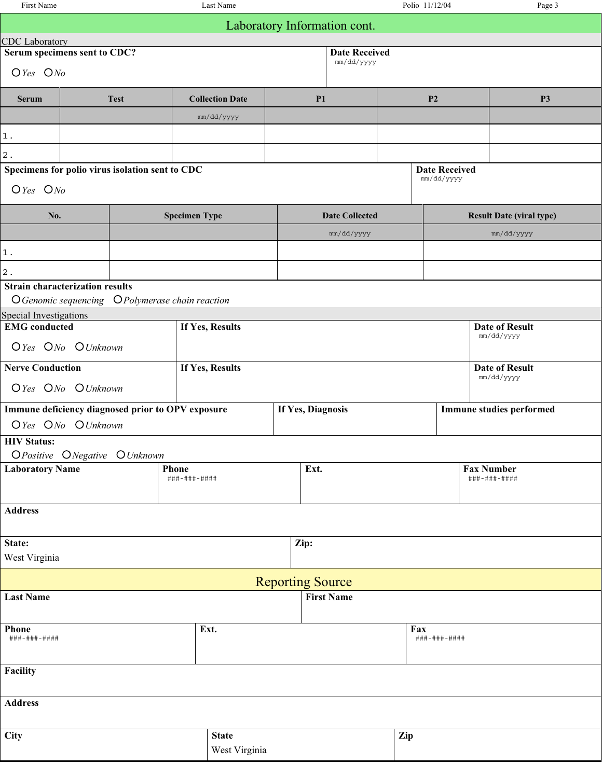| First Name              |                                                                                            |                      | Last Name              |                              |                       | Polio 11/12/04 |                      | Page 3                              |  |  |
|-------------------------|--------------------------------------------------------------------------------------------|----------------------|------------------------|------------------------------|-----------------------|----------------|----------------------|-------------------------------------|--|--|
|                         |                                                                                            |                      |                        | Laboratory Information cont. |                       |                |                      |                                     |  |  |
| <b>CDC</b> Laboratory   |                                                                                            |                      |                        |                              |                       |                |                      |                                     |  |  |
|                         | Serum specimens sent to CDC?                                                               |                      |                        |                              | <b>Date Received</b>  |                |                      |                                     |  |  |
| $O$ Yes $ONo$           |                                                                                            |                      |                        |                              | mm/dd/yyyy            |                |                      |                                     |  |  |
| <b>Serum</b>            | <b>Test</b>                                                                                |                      | <b>Collection Date</b> | P <sub>1</sub>               |                       | P <sub>2</sub> |                      | <b>P3</b>                           |  |  |
|                         |                                                                                            |                      | mm/dd/yyyy             |                              |                       |                |                      |                                     |  |  |
| $1$ .                   |                                                                                            |                      |                        |                              |                       |                |                      |                                     |  |  |
| $\mathbf 2$ .           |                                                                                            |                      |                        |                              |                       |                |                      |                                     |  |  |
|                         | Specimens for polio virus isolation sent to CDC                                            |                      |                        |                              |                       |                | <b>Date Received</b> |                                     |  |  |
| $O$ Yes $ONo$           |                                                                                            |                      |                        |                              |                       |                | mm/dd/yyyy           |                                     |  |  |
| No.                     |                                                                                            | <b>Specimen Type</b> |                        |                              | <b>Date Collected</b> |                |                      | <b>Result Date (viral type)</b>     |  |  |
|                         |                                                                                            |                      |                        |                              | mm/dd/yyyy            |                |                      | mm/dd/yyyy                          |  |  |
| $1\,.$                  |                                                                                            |                      |                        |                              |                       |                |                      |                                     |  |  |
| $\mathbf 2$ .           |                                                                                            |                      |                        |                              |                       |                |                      |                                     |  |  |
|                         | <b>Strain characterization results</b><br>O Genomic sequencing O Polymerase chain reaction |                      |                        |                              |                       |                |                      |                                     |  |  |
| Special Investigations  |                                                                                            |                      |                        |                              |                       |                |                      |                                     |  |  |
| <b>EMG</b> conducted    |                                                                                            | If Yes, Results      |                        |                              |                       |                |                      | <b>Date of Result</b><br>mm/dd/yyyy |  |  |
|                         | OYes ONo OUnknown                                                                          |                      |                        |                              |                       |                |                      |                                     |  |  |
| <b>Nerve Conduction</b> |                                                                                            |                      | If Yes, Results        |                              |                       |                |                      | <b>Date of Result</b><br>mm/dd/yyyy |  |  |
|                         | OYes ONo OUnknown                                                                          |                      |                        |                              |                       |                |                      |                                     |  |  |
|                         | Immune deficiency diagnosed prior to OPV exposure                                          |                      |                        | If Yes, Diagnosis            |                       |                |                      | <b>Immune studies performed</b>     |  |  |
|                         | OYes ONo OUnknown                                                                          |                      |                        |                              |                       |                |                      |                                     |  |  |
| <b>HIV Status:</b>      |                                                                                            |                      |                        |                              |                       |                |                      |                                     |  |  |
|                         | OPositive ONegative OUnknown                                                               |                      |                        |                              |                       |                |                      |                                     |  |  |
| <b>Laboratory Name</b>  |                                                                                            | Phone                | Ext.                   |                              |                       |                |                      | <b>Fax Number</b>                   |  |  |
|                         |                                                                                            | ###-###-####         |                        |                              |                       |                |                      | ###-###-####                        |  |  |
| <b>Address</b>          |                                                                                            |                      |                        |                              |                       |                |                      |                                     |  |  |
|                         |                                                                                            |                      |                        |                              |                       |                |                      |                                     |  |  |
| State:                  |                                                                                            |                      |                        | Zip:                         |                       |                |                      |                                     |  |  |
| West Virginia           |                                                                                            |                      |                        |                              |                       |                |                      |                                     |  |  |
|                         |                                                                                            |                      |                        |                              |                       |                |                      |                                     |  |  |
|                         |                                                                                            |                      |                        | <b>Reporting Source</b>      | <b>First Name</b>     |                |                      |                                     |  |  |
| <b>Last Name</b>        |                                                                                            |                      |                        |                              |                       |                |                      |                                     |  |  |
| <b>Phone</b>            |                                                                                            | Ext.                 |                        |                              |                       | Fax            |                      |                                     |  |  |
| ###-###-####            |                                                                                            |                      |                        |                              | ###-###-####          |                |                      |                                     |  |  |
|                         |                                                                                            |                      |                        |                              |                       |                |                      |                                     |  |  |
| Facility                |                                                                                            |                      |                        |                              |                       |                |                      |                                     |  |  |
| <b>Address</b>          |                                                                                            |                      |                        |                              |                       |                |                      |                                     |  |  |
|                         |                                                                                            |                      |                        |                              |                       |                |                      |                                     |  |  |
| <b>City</b>             |                                                                                            |                      | <b>State</b>           |                              |                       | Zip            |                      |                                     |  |  |
|                         |                                                                                            |                      | West Virginia          |                              |                       |                |                      |                                     |  |  |
|                         |                                                                                            |                      |                        |                              |                       |                |                      |                                     |  |  |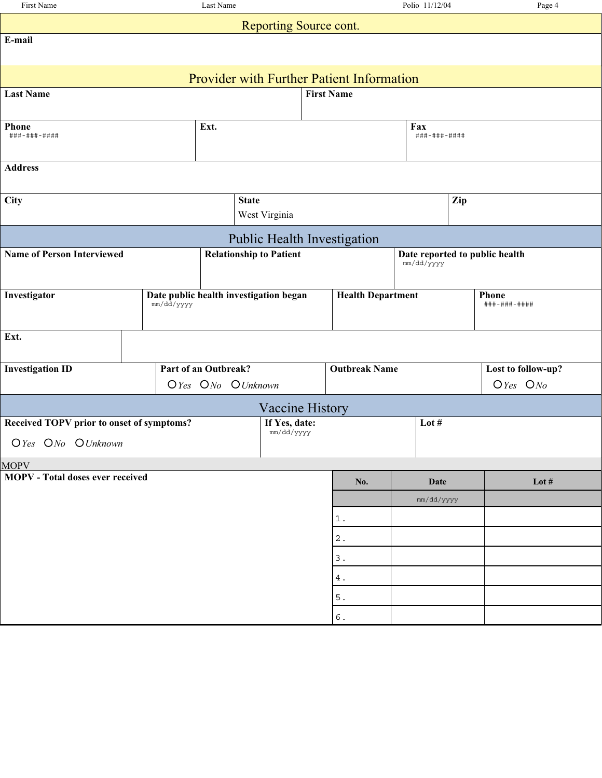| First Name                                       | Last Name                              |                   |              |                                                                                     |                   |                                              | Polio 11/12/04 | Page 4 |                    |  |
|--------------------------------------------------|----------------------------------------|-------------------|--------------|-------------------------------------------------------------------------------------|-------------------|----------------------------------------------|----------------|--------|--------------------|--|
| Reporting Source cont.                           |                                        |                   |              |                                                                                     |                   |                                              |                |        |                    |  |
| E-mail                                           |                                        |                   |              |                                                                                     |                   |                                              |                |        |                    |  |
|                                                  |                                        |                   |              |                                                                                     |                   |                                              |                |        |                    |  |
| <b>Provider with Further Patient Information</b> |                                        |                   |              |                                                                                     |                   |                                              |                |        |                    |  |
| <b>Last Name</b>                                 |                                        |                   |              |                                                                                     | <b>First Name</b> |                                              |                |        |                    |  |
| Phone                                            |                                        |                   | Fax          |                                                                                     |                   |                                              |                |        |                    |  |
| ###-###-####                                     |                                        | Ext.              |              |                                                                                     |                   |                                              | ###-###-####   |        |                    |  |
|                                                  |                                        |                   |              |                                                                                     |                   |                                              |                |        |                    |  |
| <b>Address</b>                                   |                                        |                   |              |                                                                                     |                   |                                              |                |        |                    |  |
| City                                             |                                        |                   | <b>State</b> |                                                                                     |                   |                                              |                | Zip    |                    |  |
|                                                  |                                        |                   |              | West Virginia                                                                       |                   |                                              |                |        |                    |  |
|                                                  |                                        |                   |              |                                                                                     |                   | Public Health Investigation                  |                |        |                    |  |
| <b>Name of Person Interviewed</b>                |                                        |                   |              | <b>Relationship to Patient</b>                                                      |                   | Date reported to public health<br>mm/dd/yyyy |                |        |                    |  |
|                                                  |                                        |                   |              |                                                                                     |                   |                                              |                |        |                    |  |
| Investigator                                     | Date public health investigation began |                   |              |                                                                                     |                   | <b>Health Department</b>                     |                |        | <b>Phone</b>       |  |
|                                                  | mm/dd/yyyy                             |                   |              |                                                                                     |                   |                                              |                |        | ###-###-####       |  |
| Ext.                                             |                                        |                   |              |                                                                                     |                   |                                              |                |        |                    |  |
|                                                  |                                        |                   |              |                                                                                     |                   |                                              |                |        |                    |  |
| <b>Investigation ID</b>                          | Part of an Outbreak?                   |                   |              |                                                                                     |                   | <b>Outbreak Name</b>                         |                |        | Lost to follow-up? |  |
|                                                  |                                        | OYes ONo OUnknown |              |                                                                                     |                   |                                              |                |        | $O$ Yes $ONo$      |  |
|                                                  |                                        |                   |              | <b>Vaccine History</b>                                                              |                   |                                              |                |        |                    |  |
| Received TOPV prior to onset of symptoms?        |                                        |                   |              | If Yes, date:<br>$\texttt{mm}/\texttt{dd}/\texttt{y}\texttt{y}\texttt{y}\texttt{y}$ |                   |                                              | Lot $#$        |        |                    |  |
| OYes ONo OUnknown                                |                                        |                   |              |                                                                                     |                   |                                              |                |        |                    |  |
| <b>MOPV</b>                                      |                                        |                   |              |                                                                                     |                   |                                              |                |        |                    |  |
| <b>MOPV</b> - Total doses ever received          |                                        |                   |              |                                                                                     |                   | No.                                          | <b>Date</b>    |        | Lot $\#$           |  |
|                                                  |                                        |                   |              |                                                                                     |                   |                                              | mm/dd/yyyy     |        |                    |  |
|                                                  |                                        |                   |              |                                                                                     |                   | $1\,.$                                       |                |        |                    |  |
|                                                  |                                        |                   |              |                                                                                     |                   | $\mathbf 2$ .                                |                |        |                    |  |
|                                                  |                                        |                   |              |                                                                                     |                   | $\ensuremath{\mathsf{3}}$ .                  |                |        |                    |  |
|                                                  |                                        |                   |              |                                                                                     |                   | $4$ .                                        |                |        |                    |  |
|                                                  |                                        |                   |              |                                                                                     |                   | $5$ .                                        |                |        |                    |  |
|                                                  |                                        |                   |              |                                                                                     |                   | $\,$ 6 .                                     |                |        |                    |  |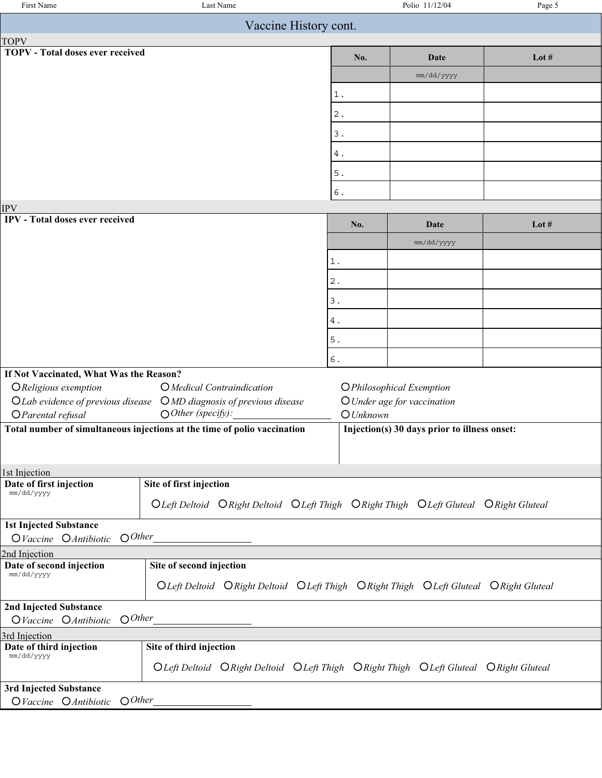| Vaccine History cont.<br><b>TOPV - Total doses ever received</b><br>No.<br>Lot $#$<br>Date<br>mm/dd/yyyy<br>$1$ .<br>$\mathbf 2$ .<br>$3$ .<br>$4$ .<br>$5.$<br>$\epsilon$ .<br><b>IPV</b><br><b>IPV</b> - Total doses ever received<br>Lot $#$<br>No.<br>Date<br>mm/dd/yyyy<br>$1$ .<br>$\,2$ .<br>3.<br>4.<br>$5$ .<br>6.<br>If Not Vaccinated, What Was the Reason?<br>O Religious exemption<br>O Medical Contraindication<br><b>OPhilosophical Exemption</b><br>O Lab evidence of previous disease<br>$OMD$ diagnosis of previous disease<br>O Under age for vaccination<br>$\bigcirc$ Other (specify):<br>O Parental refusal<br>$O$ Unknown<br>Total number of simultaneous injections at the time of polio vaccination<br>Injection(s) 30 days prior to illness onset:<br>1st Injection<br>Site of first injection<br>Date of first injection<br>mm/dd/yyyy<br>OLeft Deltoid ORight Deltoid OLeft Thigh ORight Thigh OLeft Gluteal ORight Gluteal<br><b>1st Injected Substance</b><br>$O$ <i>Other</i><br>OVaccine OAntibiotic<br>2nd Injection<br>Date of second injection<br>Site of second injection<br>mm/dd/yyyy<br>OLeft Deltoid ORight Deltoid OLeft Thigh ORight Thigh OLeft Gluteal ORight Gluteal<br>2nd Injected Substance<br>$O$ <i>Other</i><br>OVaccine OAntibiotic<br>3rd Injection<br>Site of third injection<br>Date of third injection<br>mm/dd/yyyy<br>OLeft Deltoid ORight Deltoid OLeft Thigh ORight Thigh OLeft Gluteal ORight Gluteal<br>3rd Injected Substance<br>$O$ <i>Other</i><br>OVaccine OAntibiotic | First Name  | Last Name |  | Polio 11/12/04 | Page 5 |  |  |  |  |  |
|------------------------------------------------------------------------------------------------------------------------------------------------------------------------------------------------------------------------------------------------------------------------------------------------------------------------------------------------------------------------------------------------------------------------------------------------------------------------------------------------------------------------------------------------------------------------------------------------------------------------------------------------------------------------------------------------------------------------------------------------------------------------------------------------------------------------------------------------------------------------------------------------------------------------------------------------------------------------------------------------------------------------------------------------------------------------------------------------------------------------------------------------------------------------------------------------------------------------------------------------------------------------------------------------------------------------------------------------------------------------------------------------------------------------------------------------------------------------------------------------------------------------------------------|-------------|-----------|--|----------------|--------|--|--|--|--|--|
|                                                                                                                                                                                                                                                                                                                                                                                                                                                                                                                                                                                                                                                                                                                                                                                                                                                                                                                                                                                                                                                                                                                                                                                                                                                                                                                                                                                                                                                                                                                                          |             |           |  |                |        |  |  |  |  |  |
|                                                                                                                                                                                                                                                                                                                                                                                                                                                                                                                                                                                                                                                                                                                                                                                                                                                                                                                                                                                                                                                                                                                                                                                                                                                                                                                                                                                                                                                                                                                                          | <b>TOPV</b> |           |  |                |        |  |  |  |  |  |
|                                                                                                                                                                                                                                                                                                                                                                                                                                                                                                                                                                                                                                                                                                                                                                                                                                                                                                                                                                                                                                                                                                                                                                                                                                                                                                                                                                                                                                                                                                                                          |             |           |  |                |        |  |  |  |  |  |
|                                                                                                                                                                                                                                                                                                                                                                                                                                                                                                                                                                                                                                                                                                                                                                                                                                                                                                                                                                                                                                                                                                                                                                                                                                                                                                                                                                                                                                                                                                                                          |             |           |  |                |        |  |  |  |  |  |
|                                                                                                                                                                                                                                                                                                                                                                                                                                                                                                                                                                                                                                                                                                                                                                                                                                                                                                                                                                                                                                                                                                                                                                                                                                                                                                                                                                                                                                                                                                                                          |             |           |  |                |        |  |  |  |  |  |
|                                                                                                                                                                                                                                                                                                                                                                                                                                                                                                                                                                                                                                                                                                                                                                                                                                                                                                                                                                                                                                                                                                                                                                                                                                                                                                                                                                                                                                                                                                                                          |             |           |  |                |        |  |  |  |  |  |
|                                                                                                                                                                                                                                                                                                                                                                                                                                                                                                                                                                                                                                                                                                                                                                                                                                                                                                                                                                                                                                                                                                                                                                                                                                                                                                                                                                                                                                                                                                                                          |             |           |  |                |        |  |  |  |  |  |
|                                                                                                                                                                                                                                                                                                                                                                                                                                                                                                                                                                                                                                                                                                                                                                                                                                                                                                                                                                                                                                                                                                                                                                                                                                                                                                                                                                                                                                                                                                                                          |             |           |  |                |        |  |  |  |  |  |
|                                                                                                                                                                                                                                                                                                                                                                                                                                                                                                                                                                                                                                                                                                                                                                                                                                                                                                                                                                                                                                                                                                                                                                                                                                                                                                                                                                                                                                                                                                                                          |             |           |  |                |        |  |  |  |  |  |
|                                                                                                                                                                                                                                                                                                                                                                                                                                                                                                                                                                                                                                                                                                                                                                                                                                                                                                                                                                                                                                                                                                                                                                                                                                                                                                                                                                                                                                                                                                                                          |             |           |  |                |        |  |  |  |  |  |
|                                                                                                                                                                                                                                                                                                                                                                                                                                                                                                                                                                                                                                                                                                                                                                                                                                                                                                                                                                                                                                                                                                                                                                                                                                                                                                                                                                                                                                                                                                                                          |             |           |  |                |        |  |  |  |  |  |
|                                                                                                                                                                                                                                                                                                                                                                                                                                                                                                                                                                                                                                                                                                                                                                                                                                                                                                                                                                                                                                                                                                                                                                                                                                                                                                                                                                                                                                                                                                                                          |             |           |  |                |        |  |  |  |  |  |
|                                                                                                                                                                                                                                                                                                                                                                                                                                                                                                                                                                                                                                                                                                                                                                                                                                                                                                                                                                                                                                                                                                                                                                                                                                                                                                                                                                                                                                                                                                                                          |             |           |  |                |        |  |  |  |  |  |
|                                                                                                                                                                                                                                                                                                                                                                                                                                                                                                                                                                                                                                                                                                                                                                                                                                                                                                                                                                                                                                                                                                                                                                                                                                                                                                                                                                                                                                                                                                                                          |             |           |  |                |        |  |  |  |  |  |
|                                                                                                                                                                                                                                                                                                                                                                                                                                                                                                                                                                                                                                                                                                                                                                                                                                                                                                                                                                                                                                                                                                                                                                                                                                                                                                                                                                                                                                                                                                                                          |             |           |  |                |        |  |  |  |  |  |
|                                                                                                                                                                                                                                                                                                                                                                                                                                                                                                                                                                                                                                                                                                                                                                                                                                                                                                                                                                                                                                                                                                                                                                                                                                                                                                                                                                                                                                                                                                                                          |             |           |  |                |        |  |  |  |  |  |
|                                                                                                                                                                                                                                                                                                                                                                                                                                                                                                                                                                                                                                                                                                                                                                                                                                                                                                                                                                                                                                                                                                                                                                                                                                                                                                                                                                                                                                                                                                                                          |             |           |  |                |        |  |  |  |  |  |
|                                                                                                                                                                                                                                                                                                                                                                                                                                                                                                                                                                                                                                                                                                                                                                                                                                                                                                                                                                                                                                                                                                                                                                                                                                                                                                                                                                                                                                                                                                                                          |             |           |  |                |        |  |  |  |  |  |
|                                                                                                                                                                                                                                                                                                                                                                                                                                                                                                                                                                                                                                                                                                                                                                                                                                                                                                                                                                                                                                                                                                                                                                                                                                                                                                                                                                                                                                                                                                                                          |             |           |  |                |        |  |  |  |  |  |
|                                                                                                                                                                                                                                                                                                                                                                                                                                                                                                                                                                                                                                                                                                                                                                                                                                                                                                                                                                                                                                                                                                                                                                                                                                                                                                                                                                                                                                                                                                                                          |             |           |  |                |        |  |  |  |  |  |
|                                                                                                                                                                                                                                                                                                                                                                                                                                                                                                                                                                                                                                                                                                                                                                                                                                                                                                                                                                                                                                                                                                                                                                                                                                                                                                                                                                                                                                                                                                                                          |             |           |  |                |        |  |  |  |  |  |
|                                                                                                                                                                                                                                                                                                                                                                                                                                                                                                                                                                                                                                                                                                                                                                                                                                                                                                                                                                                                                                                                                                                                                                                                                                                                                                                                                                                                                                                                                                                                          |             |           |  |                |        |  |  |  |  |  |
|                                                                                                                                                                                                                                                                                                                                                                                                                                                                                                                                                                                                                                                                                                                                                                                                                                                                                                                                                                                                                                                                                                                                                                                                                                                                                                                                                                                                                                                                                                                                          |             |           |  |                |        |  |  |  |  |  |
|                                                                                                                                                                                                                                                                                                                                                                                                                                                                                                                                                                                                                                                                                                                                                                                                                                                                                                                                                                                                                                                                                                                                                                                                                                                                                                                                                                                                                                                                                                                                          |             |           |  |                |        |  |  |  |  |  |
|                                                                                                                                                                                                                                                                                                                                                                                                                                                                                                                                                                                                                                                                                                                                                                                                                                                                                                                                                                                                                                                                                                                                                                                                                                                                                                                                                                                                                                                                                                                                          |             |           |  |                |        |  |  |  |  |  |
|                                                                                                                                                                                                                                                                                                                                                                                                                                                                                                                                                                                                                                                                                                                                                                                                                                                                                                                                                                                                                                                                                                                                                                                                                                                                                                                                                                                                                                                                                                                                          |             |           |  |                |        |  |  |  |  |  |
|                                                                                                                                                                                                                                                                                                                                                                                                                                                                                                                                                                                                                                                                                                                                                                                                                                                                                                                                                                                                                                                                                                                                                                                                                                                                                                                                                                                                                                                                                                                                          |             |           |  |                |        |  |  |  |  |  |
|                                                                                                                                                                                                                                                                                                                                                                                                                                                                                                                                                                                                                                                                                                                                                                                                                                                                                                                                                                                                                                                                                                                                                                                                                                                                                                                                                                                                                                                                                                                                          |             |           |  |                |        |  |  |  |  |  |
|                                                                                                                                                                                                                                                                                                                                                                                                                                                                                                                                                                                                                                                                                                                                                                                                                                                                                                                                                                                                                                                                                                                                                                                                                                                                                                                                                                                                                                                                                                                                          |             |           |  |                |        |  |  |  |  |  |
|                                                                                                                                                                                                                                                                                                                                                                                                                                                                                                                                                                                                                                                                                                                                                                                                                                                                                                                                                                                                                                                                                                                                                                                                                                                                                                                                                                                                                                                                                                                                          |             |           |  |                |        |  |  |  |  |  |
|                                                                                                                                                                                                                                                                                                                                                                                                                                                                                                                                                                                                                                                                                                                                                                                                                                                                                                                                                                                                                                                                                                                                                                                                                                                                                                                                                                                                                                                                                                                                          |             |           |  |                |        |  |  |  |  |  |
|                                                                                                                                                                                                                                                                                                                                                                                                                                                                                                                                                                                                                                                                                                                                                                                                                                                                                                                                                                                                                                                                                                                                                                                                                                                                                                                                                                                                                                                                                                                                          |             |           |  |                |        |  |  |  |  |  |
|                                                                                                                                                                                                                                                                                                                                                                                                                                                                                                                                                                                                                                                                                                                                                                                                                                                                                                                                                                                                                                                                                                                                                                                                                                                                                                                                                                                                                                                                                                                                          |             |           |  |                |        |  |  |  |  |  |
|                                                                                                                                                                                                                                                                                                                                                                                                                                                                                                                                                                                                                                                                                                                                                                                                                                                                                                                                                                                                                                                                                                                                                                                                                                                                                                                                                                                                                                                                                                                                          |             |           |  |                |        |  |  |  |  |  |
|                                                                                                                                                                                                                                                                                                                                                                                                                                                                                                                                                                                                                                                                                                                                                                                                                                                                                                                                                                                                                                                                                                                                                                                                                                                                                                                                                                                                                                                                                                                                          |             |           |  |                |        |  |  |  |  |  |
|                                                                                                                                                                                                                                                                                                                                                                                                                                                                                                                                                                                                                                                                                                                                                                                                                                                                                                                                                                                                                                                                                                                                                                                                                                                                                                                                                                                                                                                                                                                                          |             |           |  |                |        |  |  |  |  |  |
|                                                                                                                                                                                                                                                                                                                                                                                                                                                                                                                                                                                                                                                                                                                                                                                                                                                                                                                                                                                                                                                                                                                                                                                                                                                                                                                                                                                                                                                                                                                                          |             |           |  |                |        |  |  |  |  |  |
|                                                                                                                                                                                                                                                                                                                                                                                                                                                                                                                                                                                                                                                                                                                                                                                                                                                                                                                                                                                                                                                                                                                                                                                                                                                                                                                                                                                                                                                                                                                                          |             |           |  |                |        |  |  |  |  |  |
|                                                                                                                                                                                                                                                                                                                                                                                                                                                                                                                                                                                                                                                                                                                                                                                                                                                                                                                                                                                                                                                                                                                                                                                                                                                                                                                                                                                                                                                                                                                                          |             |           |  |                |        |  |  |  |  |  |
|                                                                                                                                                                                                                                                                                                                                                                                                                                                                                                                                                                                                                                                                                                                                                                                                                                                                                                                                                                                                                                                                                                                                                                                                                                                                                                                                                                                                                                                                                                                                          |             |           |  |                |        |  |  |  |  |  |